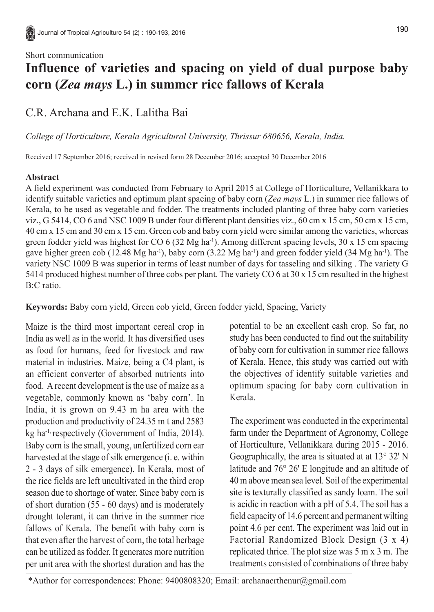#### Short communication

# **Influence of varieties and spacing on yield of dual purpose baby corn (***Zea mays* **L.) in summer rice fallows of Kerala**

## C.R. Archana and E.K. Lalitha Bai

*College of Horticulture, Kerala Agricultural University, Thrissur 680656, Kerala, India.*

Received 17 September 2016; received in revised form 28 December 2016; accepted 30 December 2016

### **Abstract**

A field experiment was conducted from February to April 2015 at College of Horticulture, Vellanikkara to identify suitable varieties and optimum plant spacing of baby corn (*Zea mays* L.) in summer rice fallows of Kerala, to be used as vegetable and fodder. The treatments included planting of three baby corn varieties viz., G 5414, CO 6 and NSC 1009 B under four different plant densities viz., 60 cm x 15 cm, 50 cm x 15 cm, 40 cm x 15 cm and 30 cm x 15 cm. Green cob and baby corn yield were similar among the varieties, whereas green fodder yield was highest for CO 6 (32 Mg ha<sup>-1</sup>). Among different spacing levels,  $30 \times 15$  cm spacing gave higher green cob (12.48 Mg ha<sup>-1</sup>), baby corn (3.22 Mg ha<sup>-1</sup>) and green fodder yield (34 Mg ha<sup>-1</sup>). The variety NSC 1009 B was superior in terms of least number of days for tasseling and silking . The variety G 5414 produced highest number of three cobs per plant. The variety CO 6 at 30 x 15 cm resulted in the highest B:C ratio.

**Keywords:** Baby corn yield, Green cob yield, Green fodder yield, Spacing, Variety

Maize is the third most important cereal crop in India as well as in the world. It has diversified uses as food for humans, feed for livestock and raw material in industries. Maize, being a C4 plant, is an efficient converter of absorbed nutrients into food. A recent development is the use of maize as a vegetable, commonly known as 'baby corn'. In India, it is grown on 9.43 m ha area with the production and productivity of 24.35 m t and 2583 kg ha-1, respectively (Government of India, 2014). Baby corn is the small, young, unfertilized corn ear harvested at the stage of silk emergence (i. e. within 2 - 3 days of silk emergence). In Kerala, most of the rice fields are left uncultivated in the third crop season due to shortage of water. Since baby corn is of short duration (55 - 60 days) and is moderately drought tolerant, it can thrive in the summer rice fallows of Kerala. The benefit with baby corn is that even after the harvest of corn, the total herbage can be utilized as fodder. It generates more nutrition per unit area with the shortest duration and has the

potential to be an excellent cash crop. So far, no study has been conducted to find out the suitability of baby corn for cultivation in summer rice fallows of Kerala. Hence, this study was carried out with the objectives of identify suitable varieties and optimum spacing for baby corn cultivation in Kerala.

The experiment was conducted in the experimental farm under the Department of Agronomy, College of Horticulture, Vellanikkara during 2015 - 2016. Geographically, the area is situated at at 13° 32' N latitude and 76° 26' E longitude and an altitude of 40 m above mean sea level. Soil of the experimental site is texturally classified as sandy loam. The soil is acidic in reaction with a pH of 5.4. The soil has a field capacity of 14.6 percent and permanent wilting point 4.6 per cent. The experiment was laid out in Factorial Randomized Block Design (3 x 4) replicated thrice. The plot size was 5 m x 3 m. The treatments consisted of combinations of three baby

<sup>\*</sup>Author for correspondences: Phone: 9400808320; Email: archanacrthenur@gmail.com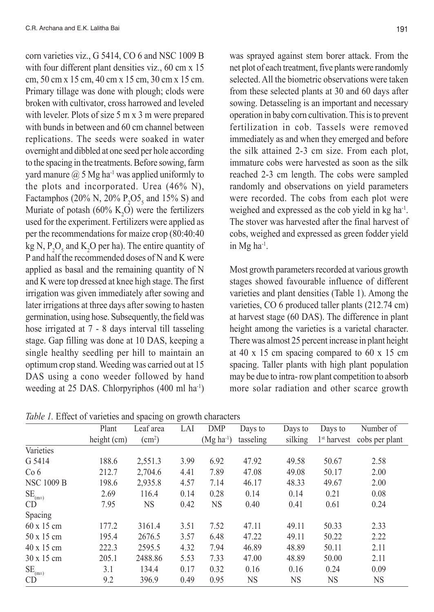corn varieties viz., G 5414, CO 6 and NSC 1009 B with four different plant densities viz., 60 cm x 15 cm, 50 cm x 15 cm, 40 cm x 15 cm, 30 cm x 15 cm. Primary tillage was done with plough; clods were broken with cultivator, cross harrowed and leveled with leveler. Plots of size 5 m x 3 m were prepared with bunds in between and 60 cm channel between replications. The seeds were soaked in water overnight and dibbled at one seed per hole according to the spacing in the treatments. Before sowing, farm yard manure  $(a)$  5 Mg ha<sup>-1</sup> was applied uniformly to the plots and incorporated. Urea (46% N), Factamphos (20% N, 20%  $P_2O5_5$  and 15% S) and Muriate of potash  $(60\% \text{ K}_2\text{O})$  were the fertilizers used for the experiment. Fertilizers were applied as per the recommendations for maize crop (80:40:40 kg N,  $P_2O_5$  and K<sub>2</sub>O per ha). The entire quantity of P and half the recommended doses of N and K were applied as basal and the remaining quantity of N and K were top dressed at knee high stage. The first irrigation was given immediately after sowing and later irrigations at three days after sowing to hasten germination, using hose. Subsequently, the field was hose irrigated at 7 - 8 days interval till tasseling stage. Gap filling was done at 10 DAS, keeping a single healthy seedling per hill to maintain an optimum crop stand. Weeding was carried out at 15 DAS using a cono weeder followed by hand weeding at 25 DAS. Chlorpyriphos (400 ml ha-1) was sprayed against stem borer attack. From the net plot of each treatment, five plants were randomly selected. All the biometric observations were taken from these selected plants at 30 and 60 days after sowing. Detasseling is an important and necessary operation in baby corn cultivation. This is to prevent fertilization in cob. Tassels were removed immediately as and when they emerged and before the silk attained 2-3 cm size. From each plot, immature cobs were harvested as soon as the silk reached 2-3 cm length. The cobs were sampled randomly and observations on yield parameters were recorded. The cobs from each plot were weighed and expressed as the cob vield in kg ha<sup>-1</sup>. The stover was harvested after the final harvest of cobs, weighed and expressed as green fodder yield in Mg ha-1.

Most growth parameters recorded at various growth stages showed favourable influence of different varieties and plant densities (Table 1). Among the varieties, CO 6 produced taller plants (212.74 cm) at harvest stage (60 DAS). The difference in plant height among the varieties is a varietal character. There was almost 25 percent increase in plant height at 40 x 15 cm spacing compared to 60 x 15 cm spacing. Taller plants with high plant population may be due to intra- row plant competition to absorb more solar radiation and other scarce growth

*Table 1.* Effect of varieties and spacing on growth characters

|                                    |             | --- 0              | $\sigma$ - |             |           |         |                         |                |
|------------------------------------|-------------|--------------------|------------|-------------|-----------|---------|-------------------------|----------------|
|                                    | Plant       | Leaf area          | LAI        | DMP         | Days to   | Days to | Days to                 | Number of      |
|                                    | height (cm) | (cm <sup>2</sup> ) |            | $(Mg ha-1)$ | tasseling | silking | 1 <sup>st</sup> harvest | cobs per plant |
| Varieties                          |             |                    |            |             |           |         |                         |                |
| G 5414                             | 188.6       | 2,551.3            | 3.99       | 6.92        | 47.92     | 49.58   | 50.67                   | 2.58           |
| Co <sub>6</sub>                    | 212.7       | 2,704.6            | 4.41       | 7.89        | 47.08     | 49.08   | 50.17                   | 2.00           |
| <b>NSC 1009 B</b>                  | 198.6       | 2,935.8            | 4.57       | 7.14        | 46.17     | 48.33   | 49.67                   | 2.00           |
| $\text{SE}_{\text{(m}\pm\text{)}}$ | 2.69        | 116.4              | 0.14       | 0.28        | 0.14      | 0.14    | 0.21                    | 0.08           |
| CD                                 | 7.95        | <b>NS</b>          | 0.42       | NS          | 0.40      | 0.41    | 0.61                    | 0.24           |
| Spacing                            |             |                    |            |             |           |         |                         |                |
| $60 \times 15$ cm                  | 177.2       | 3161.4             | 3.51       | 7.52        | 47.11     | 49.11   | 50.33                   | 2.33           |
| 50 x 15 cm                         | 195.4       | 2676.5             | 3.57       | 6.48        | 47.22     | 49.11   | 50.22                   | 2.22           |
| $40 \times 15$ cm                  | 222.3       | 2595.5             | 4.32       | 7.94        | 46.89     | 48.89   | 50.11                   | 2.11           |
| $30 \times 15$ cm                  | 205.1       | 2488.86            | 5.53       | 7.33        | 47.00     | 48.89   | 50.00                   | 2.11           |
| $\text{SE}_{\text{(m}\pm\text{)}}$ | 3.1         | 134.4              | 0.17       | 0.32        | 0.16      | 0.16    | 0.24                    | 0.09           |
| <b>CD</b>                          | 9.2         | 396.9              | 0.49       | 0.95        | NS        | NS      | NS                      | NS             |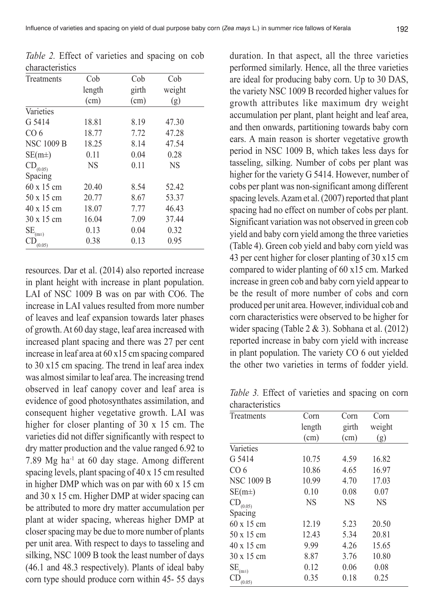Influence of varieties and spacing on yield of dual purpose baby corn (*Zea mays* L.) in summer rice fallows of Kerala 192

| Cob<br>length | Cob   | Cob       |
|---------------|-------|-----------|
|               |       |           |
|               | girth | weight    |
| (cm)          | (cm)  | (g)       |
|               |       |           |
| 18.81         | 8.19  | 47.30     |
| 18.77         | 7.72  | 47.28     |
| 18.25         | 8.14  | 47.54     |
| 0.11          | 0.04  | 0.28      |
| <b>NS</b>     | 0.11  | <b>NS</b> |
|               |       |           |
| 20.40         | 8.54  | 52.42     |
| 20.77         | 8.67  | 53.37     |
| 18.07         | 7.77  | 46.43     |
| 16.04         | 7.09  | 37.44     |
| 0.13          | 0.04  | 0.32      |
| 0.38          | 0.13  | 0.95      |
|               |       |           |

*Table 2.* Effect of varieties and spacing on cob characteristics

resources. Dar et al. (2014) also reported increase in plant height with increase in plant population. LAI of NSC 1009 B was on par with CO6. The increase in LAI values resulted from more number of leaves and leaf expansion towards later phases of growth. At 60 day stage, leaf area increased with increased plant spacing and there was 27 per cent increase in leaf area at 60 x15 cm spacing compared to 30 x15 cm spacing. The trend in leaf area index was almost similar to leaf area. The increasing trend observed in leaf canopy cover and leaf area is evidence of good photosynthates assimilation, and consequent higher vegetative growth. LAI was higher for closer planting of 30 x 15 cm. The varieties did not differ significantly with respect to dry matter production and the value ranged 6.92 to 7.89 Mg ha-1 at 60 day stage. Among different spacing levels, plant spacing of 40 x 15 cm resulted in higher DMP which was on par with 60 x 15 cm and 30 x 15 cm. Higher DMP at wider spacing can be attributed to more dry matter accumulation per plant at wider spacing, whereas higher DMP at closer spacing may be due to more number of plants per unit area. With respect to days to tasseling and silking, NSC 1009 B took the least number of days (46.1 and 48.3 respectively). Plants of ideal baby corn type should produce corn within 45- 55 days

duration. In that aspect, all the three varieties performed similarly. Hence, all the three varieties are ideal for producing baby corn. Up to 30 DAS, the variety NSC 1009 B recorded higher values for growth attributes like maximum dry weight accumulation per plant, plant height and leaf area, and then onwards, partitioning towards baby corn ears. A main reason is shorter vegetative growth period in NSC 1009 B, which takes less days for tasseling, silking. Number of cobs per plant was higher for the variety G 5414. However, number of cobs per plant was non-significant among different spacing levels. Azam et al.(2007) reported that plant spacing had no effect on number of cobs per plant. Significant variation was not observed in green cob yield and baby corn yield among the three varieties (Table 4). Green cob yield and baby corn yield was 43 per cent higher for closer planting of 30 x15 cm compared to wider planting of 60 x15 cm. Marked increase in green cob and baby corn yield appear to be the result of more number of cobs and corn produced per unit area. However, individual cob and corn characteristics were observed to be higher for wider spacing (Table 2 & 3). Sobhana et al. (2012) reported increase in baby corn yield with increase in plant population. The variety CO 6 out yielded the other two varieties in terms of fodder yield.

*Table 3.* Effect of varieties and spacing on corn characteristics

| Treatments                         | Corn      | Corn      | Corn      |  |
|------------------------------------|-----------|-----------|-----------|--|
|                                    | length    | girth     | weight    |  |
|                                    | (cm)      | (cm)      | (g)       |  |
| Varieties                          |           |           |           |  |
| G 5414                             | 10.75     | 4.59      | 16.82     |  |
| CO 6                               | 10.86     | 4.65      | 16.97     |  |
| <b>NSC 1009 B</b>                  | 10.99     | 4.70      | 17.03     |  |
| $SE(m\pm)$                         | 0.10      | 0.08      | 0.07      |  |
| $\text{CD}_{(0.05)}$               | <b>NS</b> | <b>NS</b> | <b>NS</b> |  |
| Spacing                            |           |           |           |  |
| 60 x 15 cm                         | 12.19     | 5.23      | 20.50     |  |
| 50 x 15 cm                         | 12.43     | 5.34      | 20.81     |  |
| 40 x 15 cm                         | 9.99      | 4.26      | 15.65     |  |
| $30 \times 15$ cm                  | 8.87      | 3.76      | 10.80     |  |
| $\text{SE}_{\text{(m}\pm\text{)}}$ | 0.12      | 0.06      | 0.08      |  |
| (0.05)                             | 0.35      | 0.18      | 0.25      |  |